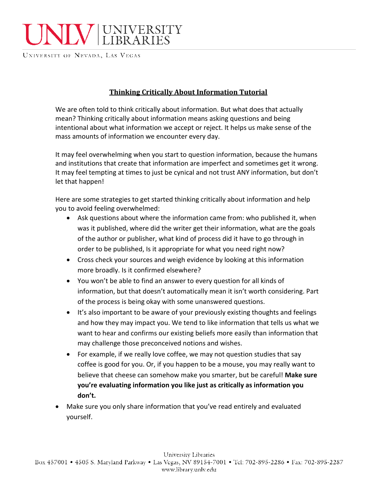

UNIVERSITY OF NEVADA, LAS VEGAS

## **Thinking Critically About Information Tutorial**

We are often told to think critically about information. But what does that actually mean? Thinking critically about information means asking questions and being intentional about what information we accept or reject. It helps us make sense of the mass amounts of information we encounter every day.

It may feel overwhelming when you start to question information, because the humans and institutions that create that information are imperfect and sometimes get it wrong. It may feel tempting at times to just be cynical and not trust ANY information, but don't let that happen!

Here are some strategies to get started thinking critically about information and help you to avoid feeling overwhelmed:

- Ask questions about where the information came from: who published it, when was it published, where did the writer get their information, what are the goals of the author or publisher, what kind of process did it have to go through in order to be published, Is it appropriate for what you need right now?
- Cross check your sources and weigh evidence by looking at this information more broadly. Is it confirmed elsewhere?
- You won't be able to find an answer to every question for all kinds of information, but that doesn't automatically mean it isn't worth considering. Part of the process is being okay with some unanswered questions.
- It's also important to be aware of your previously existing thoughts and feelings and how they may impact you. We tend to like information that tells us what we want to hear and confirms our existing beliefs more easily than information that may challenge those preconceived notions and wishes.
- For example, if we really love coffee, we may not question studies that say coffee is good for you. Or, if you happen to be a mouse, you may really want to believe that cheese can somehow make you smarter, but be careful! **Make sure you're evaluating information you like just as critically as information you don't.**
- Make sure you only share information that you've read entirely and evaluated yourself.